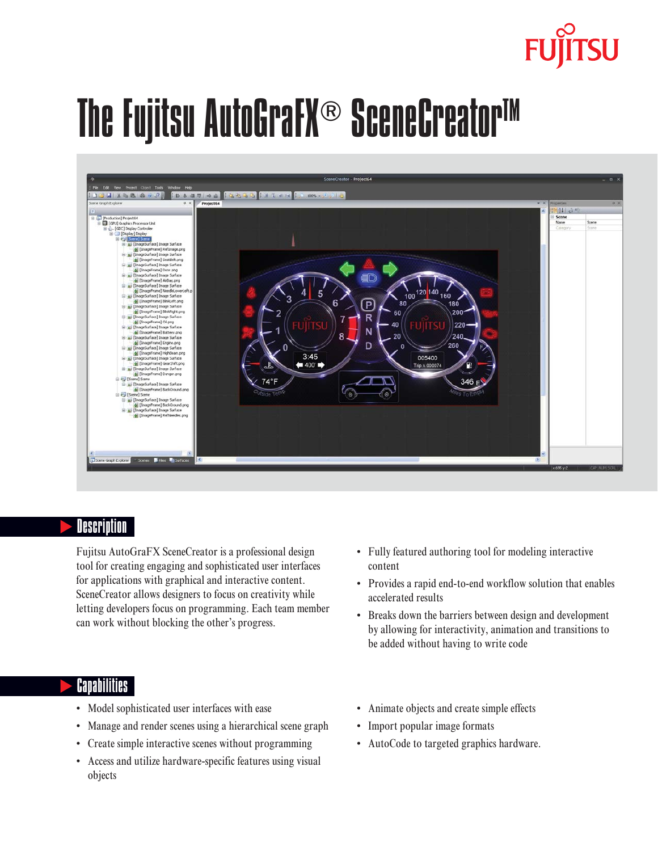# The Fujitsu AutoGraFX® SceneCreator™



#### **Description**

Fujitsu AutoGraFX SceneCreator is a professional design tool for creating engaging and sophisticated user interfaces for applications with graphical and interactive content. SceneCreator allows designers to focus on creativity while letting developers focus on programming. Each team member can work without blocking the other's progress.

#### **Capabilities**

- Model sophisticated user interfaces with ease
- Manage and render scenes using a hierarchical scene graph
- Create simple interactive scenes without programming
- Access and utilize hardware-specific features using visual objects
- Fully featured authoring tool for modeling interactive content
- Provides a rapid end-to-end workflow solution that enables accelerated results
- Breaks down the barriers between design and development by allowing for interactivity, animation and transitions to be added without having to write code
- Animate objects and create simple effects
- Import popular image formats
- AutoCode to targeted graphics hardware.